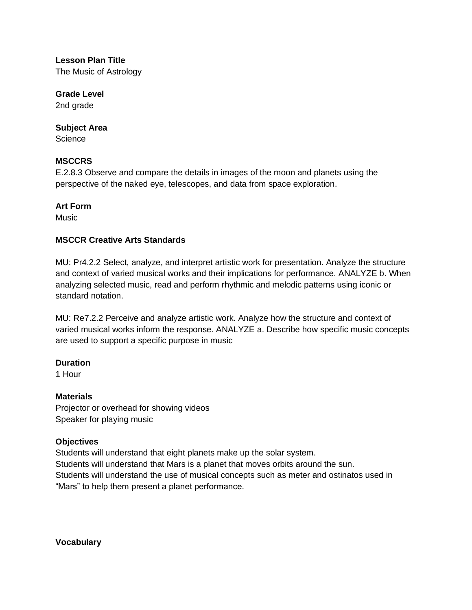**Lesson Plan Title** The Music of Astrology

**Grade Level** 2nd grade

## **Subject Area**

**Science** 

## **MSCCRS**

E.2.8.3 Observe and compare the details in images of the moon and planets using the perspective of the naked eye, telescopes, and data from space exploration.

## **Art Form**

Music

# **MSCCR Creative Arts Standards**

MU: Pr4.2.2 Select, analyze, and interpret artistic work for presentation. Analyze the structure and context of varied musical works and their implications for performance. ANALYZE b. When analyzing selected music, read and perform rhythmic and melodic patterns using iconic or standard notation.

MU: Re7.2.2 Perceive and analyze artistic work. Analyze how the structure and context of varied musical works inform the response. ANALYZE a. Describe how specific music concepts are used to support a specific purpose in music

#### **Duration**

1 Hour

# **Materials**

Projector or overhead for showing videos Speaker for playing music

# **Objectives**

Students will understand that eight planets make up the solar system. Students will understand that Mars is a planet that moves orbits around the sun. Students will understand the use of musical concepts such as meter and ostinatos used in "Mars" to help them present a planet performance.

**Vocabulary**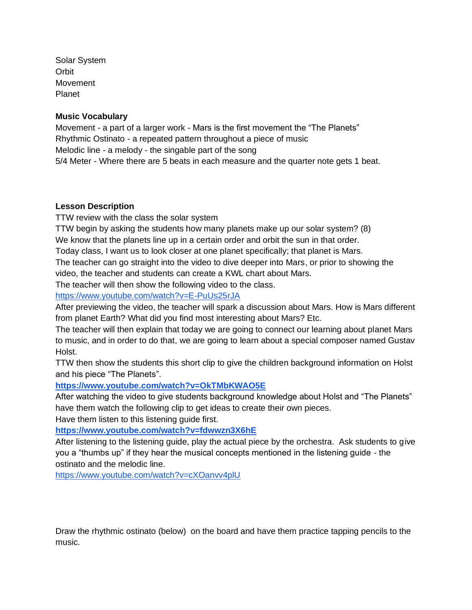Solar System **Orbit** Movement Planet

#### **Music Vocabulary**

Movement - a part of a larger work - Mars is the first movement the "The Planets" Rhythmic Ostinato - a repeated pattern throughout a piece of music Melodic line - a melody - the singable part of the song 5/4 Meter - Where there are 5 beats in each measure and the quarter note gets 1 beat.

## **Lesson Description**

TTW review with the class the solar system

TTW begin by asking the students how many planets make up our solar system? (8)

We know that the planets line up in a certain order and orbit the sun in that order.

Today class, I want us to look closer at one planet specifically; that planet is Mars.

The teacher can go straight into the video to dive deeper into Mars, or prior to showing the video, the teacher and students can create a KWL chart about Mars.

The teacher will then show the following video to the class.

<https://www.youtube.com/watch?v=E-PuUs25rJA>

After previewing the video, the teacher will spark a discussion about Mars. How is Mars different from planet Earth? What did you find most interesting about Mars? Etc.

The teacher will then explain that today we are going to connect our learning about planet Mars to music, and in order to do that, we are going to learn about a special composer named Gustav Holst.

TTW then show the students this short clip to give the children background information on Holst and his piece "The Planets".

#### **<https://www.youtube.com/watch?v=OkTMbKWAO5E>**

After watching the video to give students background knowledge about Holst and "The Planets" have them watch the following clip to get ideas to create their own pieces.

Have them listen to this listening guide first.

**<https://www.youtube.com/watch?v=fdwwzn3X6hE>**

After listening to the listening guide, play the actual piece by the orchestra. Ask students to give you a "thumbs up" if they hear the musical concepts mentioned in the listening guide - the ostinato and the melodic line.

<https://www.youtube.com/watch?v=cXOanvv4plU>

Draw the rhythmic ostinato (below) on the board and have them practice tapping pencils to the music.